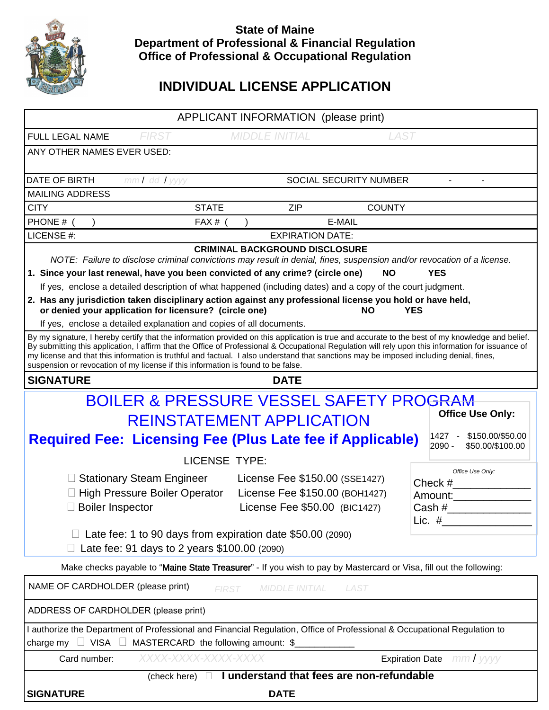

## **State of Maine Department of Professional & Financial Regulation Office of Professional & Occupational Regulation**

# **INDIVIDUAL LICENSE APPLICATION**

| <b>SIGNATURE</b><br><b>DATE</b>                                                                                                                                                                                                                                                                                                                                                                                                                  |                                                                                                                          |                                                                  |                        |                          |
|--------------------------------------------------------------------------------------------------------------------------------------------------------------------------------------------------------------------------------------------------------------------------------------------------------------------------------------------------------------------------------------------------------------------------------------------------|--------------------------------------------------------------------------------------------------------------------------|------------------------------------------------------------------|------------------------|--------------------------|
| I understand that fees are non-refundable<br>(check here) $\Box$                                                                                                                                                                                                                                                                                                                                                                                 |                                                                                                                          |                                                                  |                        |                          |
| charge my $\Box$ VISA $\Box$ MASTERCARD the following amount: \$<br><b>Expiration Date</b> mm/yyyy<br>XXXX-XXXX-XXXX-XXXX<br>Card number:                                                                                                                                                                                                                                                                                                        |                                                                                                                          |                                                                  |                        |                          |
|                                                                                                                                                                                                                                                                                                                                                                                                                                                  | I authorize the Department of Professional and Financial Regulation, Office of Professional & Occupational Regulation to |                                                                  |                        |                          |
| ADDRESS OF CARDHOLDER (please print)                                                                                                                                                                                                                                                                                                                                                                                                             |                                                                                                                          |                                                                  |                        |                          |
| NAME OF CARDHOLDER (please print)<br><b>MIDDLE INITIAL</b><br><b>LAST</b><br><b>FIRST</b>                                                                                                                                                                                                                                                                                                                                                        |                                                                                                                          |                                                                  |                        |                          |
| Make checks payable to "Maine State Treasurer" - If you wish to pay by Mastercard or Visa, fill out the following:                                                                                                                                                                                                                                                                                                                               |                                                                                                                          |                                                                  |                        |                          |
| Late fee: 91 days to 2 years \$100.00 (2090)                                                                                                                                                                                                                                                                                                                                                                                                     |                                                                                                                          |                                                                  |                        |                          |
| Lic. $#$<br>Late fee: 1 to 90 days from expiration date \$50.00 (2090)                                                                                                                                                                                                                                                                                                                                                                           |                                                                                                                          |                                                                  |                        |                          |
|                                                                                                                                                                                                                                                                                                                                                                                                                                                  | □ Boiler Inspector                                                                                                       | License Fee \$50.00 (BIC1427)                                    |                        | Cash #__________________ |
|                                                                                                                                                                                                                                                                                                                                                                                                                                                  | □ Stationary Steam Engineer<br>□ High Pressure Boiler Operator                                                           | License Fee \$150.00 (SSE1427)<br>License Fee \$150.00 (BOH1427) |                        | $Check \#$<br>Amount:    |
|                                                                                                                                                                                                                                                                                                                                                                                                                                                  |                                                                                                                          |                                                                  |                        | Office Use Only:         |
| 2090 -<br>\$50.00/\$100.00<br><b>LICENSE TYPE:</b>                                                                                                                                                                                                                                                                                                                                                                                               |                                                                                                                          |                                                                  |                        |                          |
| \$150.00/\$50.00<br>$1427 -$<br><b>Required Fee: Licensing Fee (Plus Late fee if Applicable)</b>                                                                                                                                                                                                                                                                                                                                                 |                                                                                                                          |                                                                  |                        |                          |
| <b>Office Use Only:</b><br><b>REINSTATEMENT APPLICATION</b>                                                                                                                                                                                                                                                                                                                                                                                      |                                                                                                                          |                                                                  |                        |                          |
| <b>BOILER &amp; PRESSURE VESSEL SAFETY PROGRAM</b>                                                                                                                                                                                                                                                                                                                                                                                               |                                                                                                                          |                                                                  |                        |                          |
| suspension or revocation of my license if this information is found to be false.<br><b>DATE</b><br><b>SIGNATURE</b>                                                                                                                                                                                                                                                                                                                              |                                                                                                                          |                                                                  |                        |                          |
| By my signature, I hereby certify that the information provided on this application is true and accurate to the best of my knowledge and belief.<br>By submitting this application, I affirm that the Office of Professional & Occupational Regulation will rely upon this information for issuance of<br>my license and that this information is truthful and factual. I also understand that sanctions may be imposed including denial, fines, |                                                                                                                          |                                                                  |                        |                          |
| If yes, enclose a detailed explanation and copies of all documents.                                                                                                                                                                                                                                                                                                                                                                              |                                                                                                                          |                                                                  |                        |                          |
| or denied your application for licensure? (circle one)<br>NΟ<br>YES                                                                                                                                                                                                                                                                                                                                                                              |                                                                                                                          |                                                                  |                        |                          |
| If yes, enclose a detailed description of what happened (including dates) and a copy of the court judgment.<br>2. Has any jurisdiction taken disciplinary action against any professional license you hold or have held,                                                                                                                                                                                                                         |                                                                                                                          |                                                                  |                        |                          |
| 1. Since your last renewal, have you been convicted of any crime? (circle one)<br><b>NO</b><br><b>YES</b>                                                                                                                                                                                                                                                                                                                                        |                                                                                                                          |                                                                  |                        |                          |
| NOTE: Failure to disclose criminal convictions may result in denial, fines, suspension and/or revocation of a license.                                                                                                                                                                                                                                                                                                                           |                                                                                                                          |                                                                  |                        |                          |
| LICENSE #:<br><b>EXPIRATION DATE:</b><br><b>CRIMINAL BACKGROUND DISCLOSURE</b>                                                                                                                                                                                                                                                                                                                                                                   |                                                                                                                          |                                                                  |                        |                          |
| PHONE # (                                                                                                                                                                                                                                                                                                                                                                                                                                        | FAX # $($                                                                                                                |                                                                  | E-MAIL                 |                          |
| <b>CITY</b>                                                                                                                                                                                                                                                                                                                                                                                                                                      | <b>STATE</b>                                                                                                             | <b>ZIP</b>                                                       | <b>COUNTY</b>          |                          |
| <b>MAILING ADDRESS</b>                                                                                                                                                                                                                                                                                                                                                                                                                           |                                                                                                                          |                                                                  |                        |                          |
| DATE OF BIRTH                                                                                                                                                                                                                                                                                                                                                                                                                                    | mm/ dd / yyyy                                                                                                            |                                                                  | SOCIAL SECURITY NUMBER |                          |
| ANY OTHER NAMES EVER USED:                                                                                                                                                                                                                                                                                                                                                                                                                       |                                                                                                                          |                                                                  |                        |                          |
| FULL LEGAL NAME                                                                                                                                                                                                                                                                                                                                                                                                                                  | <b>FIRST</b>                                                                                                             | <b>MIDDLE INITIAL</b>                                            | <b>LAST</b>            |                          |
|                                                                                                                                                                                                                                                                                                                                                                                                                                                  |                                                                                                                          |                                                                  |                        |                          |
| APPLICANT INFORMATION (please print)                                                                                                                                                                                                                                                                                                                                                                                                             |                                                                                                                          |                                                                  |                        |                          |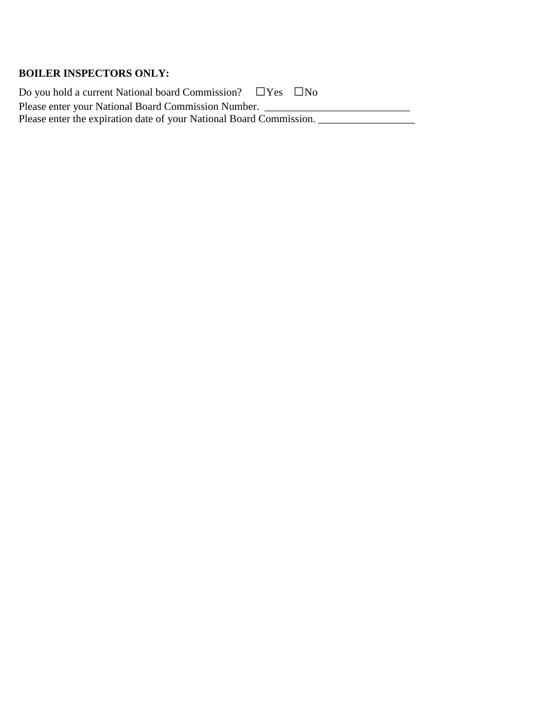### **BOILER INSPECTORS ONLY:**

Do you hold a current National board Commission?  $\square$  Yes  $\square$  No Please enter your National Board Commission Number. \_\_\_\_\_\_\_\_\_\_\_\_\_\_\_\_\_\_\_\_\_\_\_\_\_\_\_\_ Please enter the expiration date of your National Board Commission. \_\_\_\_\_\_\_\_\_\_\_\_\_\_\_\_\_\_\_